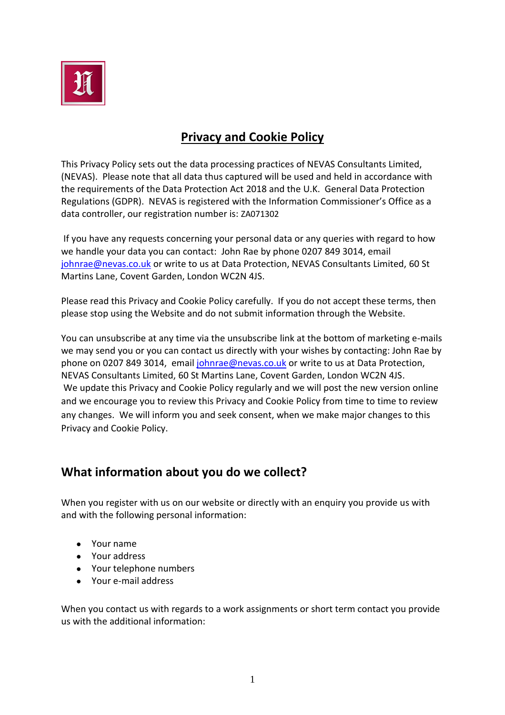

# **Privacy and Cookie Policy**

This Privacy Policy sets out the data processing practices of NEVAS Consultants Limited, (NEVAS). Please note that all data thus captured will be used and held in accordance with the requirements of the Data Protection Act 2018 and the U.K. General Data Protection Regulations (GDPR). NEVAS is registered with the Information Commissioner's Office as a data controller, our registration number is: ZA071302

If you have any requests concerning your personal data or any queries with regard to how we handle your data you can contact: John Rae by phone 0207 849 3014, email [johnrae@nevas.co.uk](mailto:johnrae@nevas.co.uk) or write to us at Data Protection, NEVAS Consultants Limited, 60 St Martins Lane, Covent Garden, London WC2N 4JS.

Please read this Privacy and Cookie Policy carefully. If you do not accept these terms, then please stop using the Website and do not submit information through the Website.

You can unsubscribe at any time via the unsubscribe link at the bottom of marketing e-mails we may send you or you can contact us directly with your wishes by contacting: John Rae by phone on 0207 849 3014, email [johnrae@nevas.co.uk](mailto:johnrae@nevas.co.uk) or write to us at Data Protection, NEVAS Consultants Limited, 60 St Martins Lane, Covent Garden, London WC2N 4JS. We update this Privacy and Cookie Policy regularly and we will post the new version online and we encourage you to review this Privacy and Cookie Policy from time to time to review any changes. We will inform you and seek consent, when we make major changes to this Privacy and Cookie Policy.

## **What information about you do we collect?**

When you register with us on our website or directly with an enquiry you provide us with and with the following personal information:

- Your name
- Your address
- Your telephone numbers
- Your e-mail address

When you contact us with regards to a work assignments or short term contact you provide us with the additional information: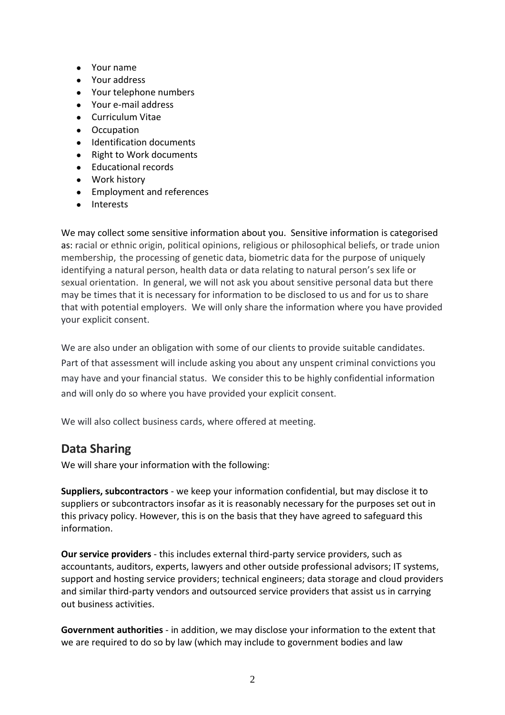- Your name
- Your address
- Your telephone numbers
- Your e-mail address
- **•** Curriculum Vitae
- Occupation
- Identification documents
- Right to Work documents
- Educational records
- Work history
- Employment and references
- Interests

We may collect some sensitive information about you. Sensitive information is categorised as: racial or ethnic origin, political opinions, religious or philosophical beliefs, or trade union membership, the processing of genetic data, biometric data for the purpose of uniquely identifying a natural person, health data or data relating to natural person's sex life or sexual orientation. In general, we will not ask you about sensitive personal data but there may be times that it is necessary for information to be disclosed to us and for us to share that with potential employers. We will only share the information where you have provided your explicit consent.

We are also under an obligation with some of our clients to provide suitable candidates. Part of that assessment will include asking you about any unspent criminal convictions you may have and your financial status. We consider this to be highly confidential information and will only do so where you have provided your explicit consent.

We will also collect business cards, where offered at meeting.

## **Data Sharing**

We will share your information with the following:

**Suppliers, subcontractors** - we keep your information confidential, but may disclose it to suppliers or subcontractors insofar as it is reasonably necessary for the purposes set out in this privacy policy. However, this is on the basis that they have agreed to safeguard this information.

**Our service providers** - this includes external third-party service providers, such as accountants, auditors, experts, lawyers and other outside professional advisors; IT systems, support and hosting service providers; technical engineers; data storage and cloud providers and similar third-party vendors and outsourced service providers that assist us in carrying out business activities.

**Government authorities** - in addition, we may disclose your information to the extent that we are required to do so by law (which may include to government bodies and law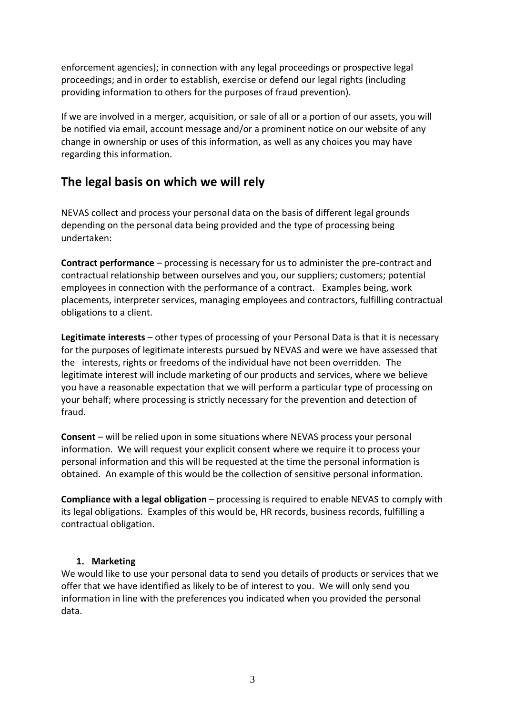enforcement agencies); in connection with any legal proceedings or prospective legal proceedings; and in order to establish, exercise or defend our legal rights (including providing information to others for the purposes of fraud prevention).

If we are involved in a merger, acquisition, or sale of all or a portion of our assets, you will be notified via email, account message and/or a prominent notice on our website of any change in ownership or uses of this information, as well as any choices you may have regarding this information.

## **The legal basis on which we will rely**

NEVAS collect and process your personal data on the basis of different legal grounds depending on the personal data being provided and the type of processing being undertaken:

**Contract performance** – processing is necessary for us to administer the pre-contract and contractual relationship between ourselves and you, our suppliers; customers; potential employees in connection with the performance of a contract. Examples being, work placements, interpreter services, managing employees and contractors, fulfilling contractual obligations to a client.

**Legitimate interests** – other types of processing of your Personal Data is that it is necessary for the purposes of legitimate interests pursued by NEVAS and were we have assessed that the interests, rights or freedoms of the individual have not been overridden. The legitimate interest will include marketing of our products and services, where we believe you have a reasonable expectation that we will perform a particular type of processing on your behalf; where processing is strictly necessary for the prevention and detection of fraud.

**Consent** – will be relied upon in some situations where NEVAS process your personal information. We will request your explicit consent where we require it to process your personal information and this will be requested at the time the personal information is obtained. An example of this would be the collection of sensitive personal information.

**Compliance with a legal obligation** – processing is required to enable NEVAS to comply with its legal obligations. Examples of this would be, HR records, business records, fulfilling a contractual obligation.

#### **1. Marketing**

We would like to use your personal data to send you details of products or services that we offer that we have identified as likely to be of interest to you. We will only send you information in line with the preferences you indicated when you provided the personal data.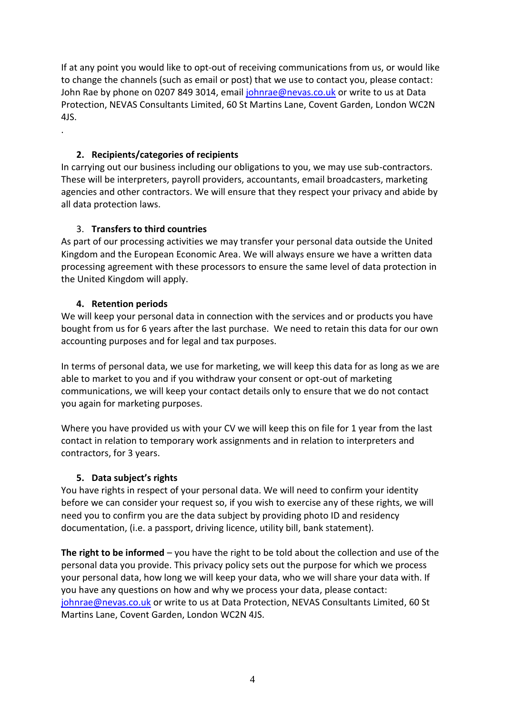If at any point you would like to opt-out of receiving communications from us, or would like to change the channels (such as email or post) that we use to contact you, please contact: John Rae by phone on 0207 849 3014, emai[l johnrae@nevas.co.uk](mailto:johnrae@nevas.co.uk) or write to us at Data Protection, NEVAS Consultants Limited, 60 St Martins Lane, Covent Garden, London WC2N 4JS.

### **2. Recipients/categories of recipients**

In carrying out our business including our obligations to you, we may use sub-contractors. These will be interpreters, payroll providers, accountants, email broadcasters, marketing agencies and other contractors. We will ensure that they respect your privacy and abide by all data protection laws.

## 3. **Transfers to third countries**

As part of our processing activities we may transfer your personal data outside the United Kingdom and the European Economic Area. We will always ensure we have a written data processing agreement with these processors to ensure the same level of data protection in the United Kingdom will apply.

## **4. Retention periods**

.

We will keep your personal data in connection with the services and or products you have bought from us for 6 years after the last purchase. We need to retain this data for our own accounting purposes and for legal and tax purposes.

In terms of personal data, we use for marketing, we will keep this data for as long as we are able to market to you and if you withdraw your consent or opt-out of marketing communications, we will keep your contact details only to ensure that we do not contact you again for marketing purposes.

Where you have provided us with your CV we will keep this on file for 1 year from the last contact in relation to temporary work assignments and in relation to interpreters and contractors, for 3 years.

### **5. Data subject's rights**

You have rights in respect of your personal data. We will need to confirm your identity before we can consider your request so, if you wish to exercise any of these rights, we will need you to confirm you are the data subject by providing photo ID and residency documentation, (i.e. a passport, driving licence, utility bill, bank statement).

**The right to be informed** – you have the right to be told about the collection and use of the personal data you provide. This privacy policy sets out the purpose for which we process your personal data, how long we will keep your data, who we will share your data with. If you have any questions on how and why we process your data, please contact: [johnrae@nevas.co.uk](mailto:johnrae@nevas.co.uk) or write to us at Data Protection, NEVAS Consultants Limited, 60 St Martins Lane, Covent Garden, London WC2N 4JS.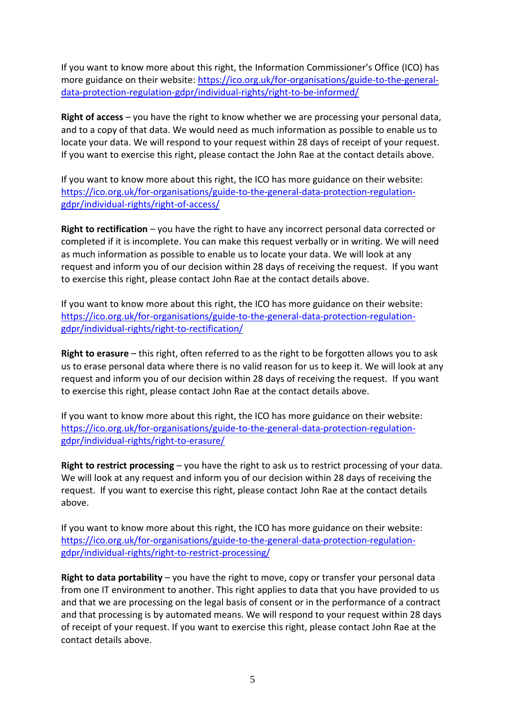If you want to know more about this right, the Information Commissioner's Office (ICO) has more guidance on their website: [https://ico.org.uk/for-organisations/guide-to-the-general](https://ico.org.uk/for-organisations/guide-to-the-general-data-protection-regulation-gdpr/individual-rights/right-to-be-informed/)[data-protection-regulation-gdpr/individual-rights/right-to-be-informed/](https://ico.org.uk/for-organisations/guide-to-the-general-data-protection-regulation-gdpr/individual-rights/right-to-be-informed/)

**Right of access** – you have the right to know whether we are processing your personal data, and to a copy of that data. We would need as much information as possible to enable us to locate your data. We will respond to your request within 28 days of receipt of your request. If you want to exercise this right, please contact the John Rae at the contact details above.

If you want to know more about this right, the ICO has more guidance on their website: [https://ico.org.uk/for-organisations/guide-to-the-general-data-protection-regulation](https://ico.org.uk/for-organisations/guide-to-the-general-data-protection-regulation-gdpr/individual-rights/right-of-access/)[gdpr/individual-rights/right-of-access/](https://ico.org.uk/for-organisations/guide-to-the-general-data-protection-regulation-gdpr/individual-rights/right-of-access/)

**Right to rectification** – you have the right to have any incorrect personal data corrected or completed if it is incomplete. You can make this request verbally or in writing. We will need as much information as possible to enable us to locate your data. We will look at any request and inform you of our decision within 28 days of receiving the request. If you want to exercise this right, please contact John Rae at the contact details above.

If you want to know more about this right, the ICO has more guidance on their website: [https://ico.org.uk/for-organisations/guide-to-the-general-data-protection-regulation](https://ico.org.uk/for-organisations/guide-to-the-general-data-protection-regulation-gdpr/individual-rights/right-to-rectification/)[gdpr/individual-rights/right-to-rectification/](https://ico.org.uk/for-organisations/guide-to-the-general-data-protection-regulation-gdpr/individual-rights/right-to-rectification/)

**Right to erasure** – this right, often referred to as the right to be forgotten allows you to ask us to erase personal data where there is no valid reason for us to keep it. We will look at any request and inform you of our decision within 28 days of receiving the request. If you want to exercise this right, please contact John Rae at the contact details above.

If you want to know more about this right, the ICO has more guidance on their website: [https://ico.org.uk/for-organisations/guide-to-the-general-data-protection-regulation](https://ico.org.uk/for-organisations/guide-to-the-general-data-protection-regulation-gdpr/individual-rights/right-to-erasure/)[gdpr/individual-rights/right-to-erasure/](https://ico.org.uk/for-organisations/guide-to-the-general-data-protection-regulation-gdpr/individual-rights/right-to-erasure/)

**Right to restrict processing** – you have the right to ask us to restrict processing of your data. We will look at any request and inform you of our decision within 28 days of receiving the request. If you want to exercise this right, please contact John Rae at the contact details above.

If you want to know more about this right, the ICO has more guidance on their website: [https://ico.org.uk/for-organisations/guide-to-the-general-data-protection-regulation](https://ico.org.uk/for-organisations/guide-to-the-general-data-protection-regulation-gdpr/individual-rights/right-to-restrict-processing/)[gdpr/individual-rights/right-to-restrict-processing/](https://ico.org.uk/for-organisations/guide-to-the-general-data-protection-regulation-gdpr/individual-rights/right-to-restrict-processing/)

**Right to data portability** – you have the right to move, copy or transfer your personal data from one IT environment to another. This right applies to data that you have provided to us and that we are processing on the legal basis of consent or in the performance of a contract and that processing is by automated means. We will respond to your request within 28 days of receipt of your request. If you want to exercise this right, please contact John Rae at the contact details above.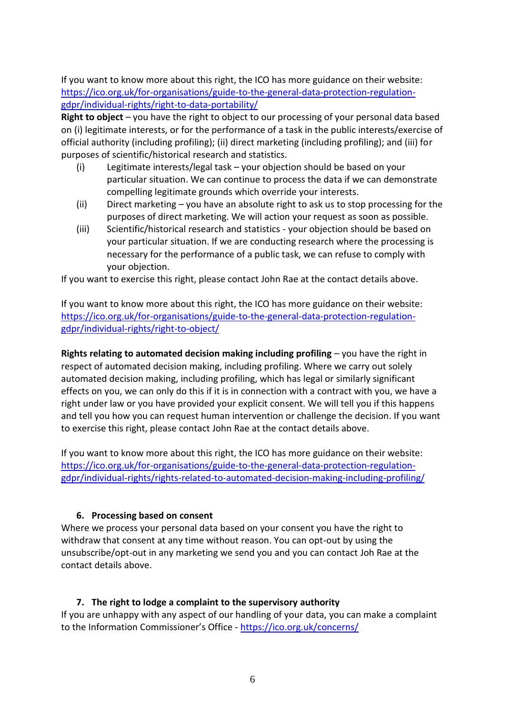If you want to know more about this right, the ICO has more guidance on their website: [https://ico.org.uk/for-organisations/guide-to-the-general-data-protection-regulation](https://ico.org.uk/for-organisations/guide-to-the-general-data-protection-regulation-gdpr/individual-rights/right-to-data-portability/)[gdpr/individual-rights/right-to-data-portability/](https://ico.org.uk/for-organisations/guide-to-the-general-data-protection-regulation-gdpr/individual-rights/right-to-data-portability/)

**Right to object** – you have the right to object to our processing of your personal data based on (i) legitimate interests, or for the performance of a task in the public interests/exercise of official authority (including profiling); (ii) direct marketing (including profiling); and (iii) for purposes of scientific/historical research and statistics.

- (i) Legitimate interests/legal task your objection should be based on your particular situation. We can continue to process the data if we can demonstrate compelling legitimate grounds which override your interests.
- (ii) Direct marketing you have an absolute right to ask us to stop processing for the purposes of direct marketing. We will action your request as soon as possible.
- (iii) Scientific/historical research and statistics your objection should be based on your particular situation. If we are conducting research where the processing is necessary for the performance of a public task, we can refuse to comply with your objection.

If you want to exercise this right, please contact John Rae at the contact details above.

If you want to know more about this right, the ICO has more guidance on their website: [https://ico.org.uk/for-organisations/guide-to-the-general-data-protection-regulation](https://ico.org.uk/for-organisations/guide-to-the-general-data-protection-regulation-gdpr/individual-rights/right-to-object/)[gdpr/individual-rights/right-to-object/](https://ico.org.uk/for-organisations/guide-to-the-general-data-protection-regulation-gdpr/individual-rights/right-to-object/)

**Rights relating to automated decision making including profiling** – you have the right in respect of automated decision making, including profiling. Where we carry out solely automated decision making, including profiling, which has legal or similarly significant effects on you, we can only do this if it is in connection with a contract with you, we have a right under law or you have provided your explicit consent. We will tell you if this happens and tell you how you can request human intervention or challenge the decision. If you want to exercise this right, please contact John Rae at the contact details above.

If you want to know more about this right, the ICO has more guidance on their website: [https://ico.org.uk/for-organisations/guide-to-the-general-data-protection-regulation](https://ico.org.uk/for-organisations/guide-to-the-general-data-protection-regulation-gdpr/individual-rights/rights-related-to-automated-decision-making-including-profiling/)[gdpr/individual-rights/rights-related-to-automated-decision-making-including-profiling/](https://ico.org.uk/for-organisations/guide-to-the-general-data-protection-regulation-gdpr/individual-rights/rights-related-to-automated-decision-making-including-profiling/)

#### **6. Processing based on consent**

Where we process your personal data based on your consent you have the right to withdraw that consent at any time without reason. You can opt-out by using the unsubscribe/opt-out in any marketing we send you and you can contact Joh Rae at the contact details above.

#### **7. The right to lodge a complaint to the supervisory authority**

If you are unhappy with any aspect of our handling of your data, you can make a complaint to the Information Commissioner's Office - <https://ico.org.uk/concerns/>